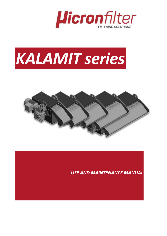





*USE AND MAINTENANCE MANUAL*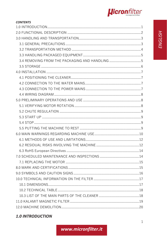

ENGLISH

#### **CONTENTS**

| 3.4 REMOVING FROM THE PACKAGING AND HANDLING 5 |  |
|------------------------------------------------|--|
|                                                |  |
|                                                |  |
|                                                |  |
|                                                |  |
|                                                |  |
|                                                |  |
|                                                |  |
|                                                |  |
|                                                |  |
|                                                |  |
|                                                |  |
|                                                |  |
|                                                |  |
|                                                |  |
|                                                |  |
|                                                |  |
|                                                |  |
|                                                |  |
|                                                |  |
|                                                |  |
|                                                |  |
|                                                |  |
|                                                |  |
|                                                |  |
|                                                |  |
|                                                |  |

# **1.0 INTRODUCTION**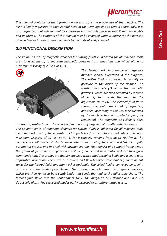

*This manual contains all the information necessary for the proper use of the machine. The user is kindly requested to take careful heed of the warnings and to read it thoroughly. It is also requested that this manual be conserved in a suitable place so that it remains legible and unaltered. The contents of this manual may be changed without notice for the purpose of including variations or improvements to the units already shipped.*

## *2.0 FUNCTIONAL DESCRIPTION*

*The Kalamit series of magnetic cleaners for cutting fluids is indicated for all machine tools used to work metal, to separate magnetic particles from emulsions and whole oils with maximum viscosity of 20° cSt at 40° C.*



*The cleaner works in a simple and effective manner, clearly illustrated in the diagram. The soiled fluid is conveyed by gravity or pressure to the inside of the cleaner. The rotating magnets (1) retain the magnetic particles, which are then removed by a comb blade (2) that sends the mud to the adjustable chute (3). The cleaned fluid flows through the containment tank (if requested) and then, according to the use, is relaunched by the machine tool via an electric pump (if requested). The magnetic disk cleaner does* 

*not use disposable filters. The recovered mud is easily disposed of as differentiated waste. The Kalamit series of magnetic cleaners for cutting fluids is indicated for all machine tools used to work metal, to separate metal particles from emulsions and whole oils with maximum viscosity of 20° cSt at 40° C, for a capacity ranging from 50 to 700 l/min. The cleaners are all made of sturdy zinc-coated sheet metal, bent and welded by a fully automated process and finished with powder coating. They consist of a support frame where the group of permanent magnets are installed, connected to a motor reducer through a command shaft. The groups are factory-supplied with a mud-scraping blade and a chute with adjustable inclination. There are also covers and flow-breaker pre-chambers, containment tanks for the filtered fluid, and many other optionals. The soiled fluid is conveyed by gravity or pressure to the inside of the cleaner. The rotating magnets retain the magnetic particles, which are then removed by a comb blade that sends the mud to the adjustable chute. The filtered fluid flows into the containment tank. The magnetic disk cleaner does not use disposable filters. The recovered mud is easily disposed of as differentiated waste.*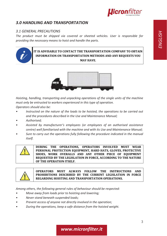

# *3.0 HANDLING AND TRANSPORTATION*

### *3.1 GENERAL PRECAUTIONS*

*The product must be shipped via covered or sheeted vehicles. User is responsible for providing the necessary means to hoist and handle the parts.*



#### **IT IS ADVISABLE TO CONTACT THE TRANSPORTATION COMPANY TO OBTAIN INFORMATION ON TRANSPORTATION METHODS AND ANY REQUESTS YOU MAY HAVE.**



*Hoisting, handling, transporting and unpacking operations of the single units of the machine must only be entrusted to workers experienced in this type of operation.*

*Operators should also be:*

- *• Instructed on the nature of the loads to be hoisted, the operations to be carried out and the procedures described in the Use and Maintenance Manual;*
- *• Authorised;*
- *• Assisted by manufacturer's employees (or employees of an authorised assistance centre) well familiarised with the machine and with its Use and Maintenance Manual;*
- *• Sure to carry out the operations fully following the procedure indicated in the manual itself.*



**DURING THE OPERATIONS, OPERATORS INVOLVED MUST WEAR PERSONAL PROTECTION EQUIPMENT, HARD HATS, GLOVES, PROTECTIVE SHOES, WORK OVERALLS AND ANY OTHER PIECE OF EQUIPMENT REQUESTED BY THE LEGISLATION IN FORCE, ACCORDING TO THE NATURE OF THE OPERATION ITSELF.**



**OPERATORS MUST ALWAYS FOLLOW THE INSTRUCTIONS AND PROHIBITIONS DESCRIBED BY THE CURRENT LEGISLATION IN FORCE REGARDING HOISTING AND TRANSPORTATION OPERATIONS.**

*Among others, the following general rules of behaviour should be respected:*

- *• Move away from loads prior to hoisting and lowering;*
- *• Never stand beneath suspended loads;*
- *• Prevent access of anyone not directly involved in the operation;*
- *• During the operations, keep a safe distance from the hoisted weight.*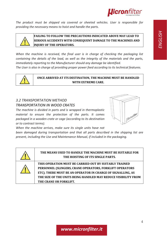



*The product must be shipped via covered or sheeted vehicles. User is responsible for providing the necessary means to hoist and handle the parts.*



#### **FAILING TO FOLLOW THE PRECAUTIONS INDICATED ABOVE MAY LEAD TO SERIOUS ACCIDENTS WITH CONSEQUENT DAMAGE TO THE MACHINES AND INJURY OF THE OPERATORS.**

*When the machine is received, the final user is in charge of checking the packaging list containing the details of the load, as well as the integrity of the materials and the parts, immediately reporting to the Manufacturer should any damage be identified.*

*The User is also in charge of providing proper power feed according to its technical features.*



**ONCE ARRIVED AT ITS DESTINATION, THE MACHINE MUST BE HANDLED WITH EXTREME CARE.**

# *3.2 TRANSPORTATION METHOD TRANSPORTATION IN WOOD CRATES*

*The machine is divided in parts and is wrapped in thermoplastic material to ensure the protection of the parts. It comes packaged in a wooden crate or cage (according to its destination or to contract terms).*



*When the machine arrives, make sure its single units have not* 

*been damaged during transportation and that all parts described in the shipping list are present, including the Use and Maintenance Manual, if included in the packaging.*

| THE MEANS USED TO HANDLE THE MACHINE MUST BE SUITABLE FOR<br>THE HOISTING OF ITS SINGLE PARTS.                                                                                                                                                                                |
|-------------------------------------------------------------------------------------------------------------------------------------------------------------------------------------------------------------------------------------------------------------------------------|
| THIS OPERATION MUST BE CARRIED OUT BY SUITABLY TRAINED<br>PERSONNEL (SLINGERS, CRANE OPERATORS, FORKLIFT OPERATORS<br>ETC). THERE MUST BE AN OPERATOR IN CHARGE OF SIGNALLING, AS<br>THE SIZE OF THE UNITS BEING HANDLED MAY REDUCE VISIBILITY FROM<br>THE CRANE OR FORKLIFT. |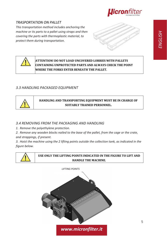

# *TRASPORTATION ON PALLET*

*This transportation method includes anchoring the machine or its parts to a pallet using straps and then covering the parts with thermoplastic material, to protect them during transportation.*





**ATTENTION! DO NOT LOAD UNCOVERED LORRIES WITH PALLETS CONTAINING UNPROTECTED PARTS AND ALWAYS CHECK THE POINT WHERE THE FORKS ENTER BENEATH THE PALLET.**

## *3.3 HANDLING PACKAGED EQUIPMENT*



#### **HANDLING AND TRANSPORTING EQUIPMENT MUST BE IN CHARGE OF SUITABLY TRAINED PERSONNEL.**

## *3.4 REMOVING FROM THE PACKAGING AND HANDLING*

- *1. Remove the polyethylene protection.*
- *2. Remove any wooden blocks nailed to the base of the pallet, from the cage or the crate,*

#### *and strappings, if present.*

*3. Hoist the machine using the 2 lifting points outside the collection tank, as indicated in the figure below.*



## **USE ONLY THE LIFTING POINTS INDICATED IN THE FIGURE TO LIFT AND HANDLE THE MACHINE.**

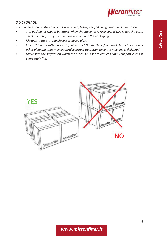

## *3.5 STORAGE*

*The machine can be stored when it is received, taking the following conditions into account:*

- *• The packaging should be intact when the machine is received. If this is not the case, check the integrity of the machine and replace the packaging;*
- *• Make sure the storage place is a closed place;*
- *• Cover the units with plastic tarp to protect the machine from dust, humidity and any other elements that may jeopardise proper operation once the machine is delivered;*
- *• Make sure the surface on which the machine is set to rest can safely support it and is completely flat.*

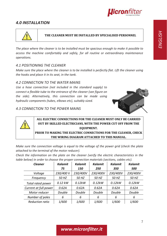

# *4.0 INSTALLATION*



#### **THE CLEANER MUST BE INSTALLED BY SPECIALISED PERSONNEL**

*The place where the cleaner is to be installed must be spacious enough to make it possible to access the machine comfortably and safely, for all routine or extraordinary maintenance operations.*

### *4.1 POSITIONING THE CLEANER*

*Make sure the place where the cleaner is to be installed is perfectly flat. Lift the cleaner using the hooks and place it in its seat, in the tank.*

## *4.2 CONNECTION TO THE WATER MAINS*

*Use a hose connection (not included in the standard supply) to connect a flexible tube to the entrance of the cleaner (see figure on the side). Alternatively, this connection can be made using hydraulic components (tubes, elbows etc), suitably sized.*



#### *4.3 CONNECTION TO THE POWER MAINS*



### **ALL ELECTRIC CONNECTIONS FOR THE CLEANER MUST ONLY BE CARRIED OUT BY SKILLED ELECTRICIANS, WITH THE POWER CUT OFF FROM THE EQUIPMENT. PRIOR TO MAKING THE ELECTRIC CONNECTIONS FOR THE CLEANER, CHECK THE WIRING DIAGRAM ATTACHED TO THIS MANUAL.**

*Make sure the connection voltage is equal to the voltage of the power grid (check the plate attached to the terminal of the motor reducer).*

*Check the information on the plate on the cleaner (verify the electric characteristics in the table below) in order to choose the proper connection materials (sections, cables etc).*

| <b>Cleaner</b>        | <b>Kalamit</b> | <b>Kalamit</b> | <b>Kalamit</b> | <b>Kalamit</b> | <b>Kalamit</b> |
|-----------------------|----------------|----------------|----------------|----------------|----------------|
|                       | 75             | 150            | 250            | 350            | 500            |
| Voltage               | 230/400 V      | 230/400V       | 230/400V       | 230/400V       | 230/400V       |
| Frequency             | 50 HZ          | 50 HZ          | 50 HZ          | 50 HZ          | 50 HZ          |
| Total rated power     | $0.12$ kW      | 0.12kW         | 0.12kW         | 0.12kW         | 0.12kW         |
| Current at full power | 0.62A          | 0.62A          | 0.62A          | 0.62A          | 0.62A          |
| Motor reducer         | Double         | Double         | Double         | Double         | Double         |
| Number of poles       | 6              | 6              | 6              | 6              | 6              |
| Reduction ratio       | <i>1/600</i>   | <i>1/600</i>   | 1/600          | <i>1/600</i>   | 1/600          |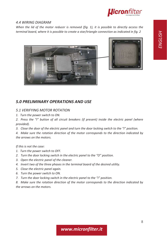

#### *4.4 WIRING DIAGRAM*

*When the lid of the motor reducer is removed (fig. 1), it is possible to directly access the terminal board, where it is possible to create a star/triangle connection as indicated in fig. 2*





# *5.0 PRELIMINARY OPERATIONS AND USE*

#### *5.1 VERIFYING MOTOR ROTATION*

*1. Turn the power switch to ON.*

*2. Press the "I" button of all circuit breakers (if present) inside the electric panel (where provided).*

*3. Close the door of the electric panel and turn the door locking switch to the "I" position.*

*4. Make sure the rotation direction of the motor corresponds to the direction indicated by the arrows on the motors.*

#### *If this is not the case:*

- *1. Turn the power switch to OFF.*
- *2. Turn the door locking switch in the electric panel to the "O" position.*
- *3. Open the electric panel of the cleaner.*
- *4. Invert two of the three phases in the terminal board of the desired utility.*
- *5. Close the electric panel again.*
- *6. Turn the power switch to ON.*
- *7. Turn the door locking switch in the electric panel to the "I" position.*

*8. Make sure the rotation direction of the motor corresponds to the direction indicated by the arrows on the motors.*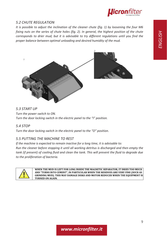

## *5.2 CHUTE REGULATION*

*It is possible to adjust the inclination of the cleaner chute (fig. 1) by loosening the four M6 fixing nuts on the series of chute holes (fig. 2). In general, the highest position of the chute corresponds to drier mud, but it is advisable to try different regulations until you find the proper balance between optimal unloading and desired humidity of the mud.*



#### *5.3 START UP*

*Turn the power switch to ON.*

*Turn the door locking switch in the electric panel to the "I" position.*

## *5.4 STOP*

*Turn the door locking switch in the electric panel to the "O" position.*

## *5.5 PUTTING THE MACHINE TO REST*

*If the machine is expected to remain inactive for a long time, it is advisable to: Run the cleaner before stopping it until all working detritus is discharged and then empty the tank (if present) of cooling fluid and clean the tank. This will prevent the fluid to degrade due to the proliferation of bacteria.*



**WHEN THE MUD IS LEFT FOR LONG INSIDE THE MAGNETIC SEPARATOR, IT DRIES TOO MUCH AND "TURNS INTO CEMENT", IN PARTICULAR WHEN THE RESIDUES ARE VERY FINE (SUCH AS GRINDING MUD). THIS MAY DAMAGE DISKS AND MOTOR REDUCER WHEN THE EQUIPMENT IS TURNED ON AGAIN.**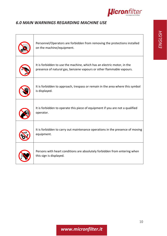

# *6.0 MAIN WARNINGS REGARDING MACHINE USE*

| Personnel/Operators are forbidden from removing the protections installed<br>on the machine/equipment.                                          |
|-------------------------------------------------------------------------------------------------------------------------------------------------|
| It is forbidden to use the machine, which has an electric motor, in the<br>presence of natural gas, benzene vapours or other flammable vapours. |
| It is forbidden to approach, trespass or remain in the area where this symbol<br>is displayed.                                                  |
| It is forbidden to operate this piece of equipment if you are not a qualified<br>operator.                                                      |
| It is forbidden to carry out maintenance operations in the presence of moving<br>equipment.                                                     |
| Persons with heart conditions are absolutely forbidden from entering when<br>this sign is displayed.                                            |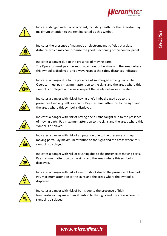

| Indicates danger with risk of accident, including death, for the Operator. Pay<br>maximum attention to the text indicated by this symbol.                                                                                     |
|-------------------------------------------------------------------------------------------------------------------------------------------------------------------------------------------------------------------------------|
| Indicates the presence of magnetic or electromagnetic fields at a close<br>distance, which may compromise the good functioning of the control panel.                                                                          |
| Indicates a danger due to the presence of moving parts.<br>The Operator must pay maximum attention to the signs and the areas where<br>this symbol is displayed, and always respect the safety distances indicated.           |
| Indicates a danger due to the presence of submerged moving parts. The<br>Operator must pay maximum attention to the signs and the areas where this<br>symbol is displayed, and always respect the safety distances indicated. |
| Indicates a danger with risk of having one's limbs dragged due to the<br>presence of moving belts or chains. Pay maximum attention to the signs and<br>the areas where this symbol is displayed.                              |
| Indicates a danger with risk of having one's limbs caught due to the presence<br>of moving parts. Pay maximum attention to the signs and the areas where this<br>symbol is displayed.                                         |
| Indicates a danger with risk of amputation due to the presence of sharp<br>moving parts. Pay maximum attention to the signs and the areas where this<br>symbol is displayed.                                                  |
| Indicates a danger with risk of crushing due to the presence of moving parts.<br>Pay maximum attention to the signs and the areas where this symbol is<br>displayed.                                                          |
| Indicates a danger with risk of electric shock due to the presence of live parts.<br>Pay maximum attention to the signs and the areas where this symbol is<br>displayed.                                                      |
| Indicates a danger with risk of burns due to the presence of high<br>temperatures. Pay maximum attention to the signs and the areas where this<br>symbol is displayed.                                                        |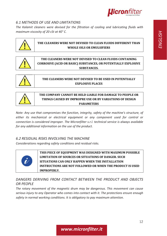

## *6.1 METHODS OF USE AND LIMITATIONS*

*The Kalamit cleaners were devised for the filtration of cooling and lubricating fluids with maximum viscosity of 20 cSt at 40° C.*







**THE CLEANERS WERE NOT DEVISED TO BE USED IN POTENTIALLY EXPLOSIVE PLACES**



#### **THE COMPANY CANNOT BE HELD LIABLE FOR DAMAGE TO PEOPLE OR THINGS CAUSED BY IMPROPRE USE OR BY VARIATIONS OF DESIGN PARAMETERS**

*Note: Any use that compromises the function, integrity, safety of the machine's structure, of either its mechanical or electrical equipment or any component used for control or connection is considered improper. The Micronfilter s.r.l. technical service is always available for any additional information on the use of the product.*

#### *6.2 RESIDUAL RISKS INVOLVING THE MACHINE*

*Considerations regarding safety conditions and residual risks.*



**THIS PIECE OF EQUIPMENT WAS DESIGNED WITH MAXIMUM POSSIBLE LIMITATION OF SOURCES OR SITUATIONS OF DANGER. SUCH SITUATIONS CAN ONLY HAPPEN WHEN THE INSTALLATION INSTRUCTIONS ARE NOT FOLLOWED OR WHEN THE PRODUCT IS USED IMPROPERLY.**

## *DANGERS DERIVING FROM CONTACT BETWEEN THE PRODUCT AND OBJECTS OR PEOPLE*

*The rotary movement of the magnetic drum may be dangerous. This movement can cause serious injury to any Operator who comes into contact with it. The protections ensure enough safety in normal working conditions. It is obligatory to pay maximum attention.*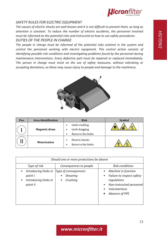

## *SAFETY RULES FOR ELECTRIC EQUIPMENT*

*The causes of electric shocks are well known and it is not difficult to prevent them, as long as attention is constant. To reduce the number of electric accidents, the personnel involved must be informed on the potential risks and instructed on how to use safety procedures. DUTIES OF THE PEOPLE IN CHARGE*

*The people in charge must be informed of the potential risks existent in the system and control the personnel working with electric equipment. This control action consists of identifying possible risk conditions and investigating problems found by the personnel during maintenance interventions. Every defective part must be repaired or replaced immediately. The person in charge must insist on the use of safety measures, without tolerating or accepting deviations, as these may cause injury to people and damage to the machinery.*



| Pos. | Area identification  | <b>Risk</b>                                          | <b>Symbol</b> |
|------|----------------------|------------------------------------------------------|---------------|
|      | <b>Magnetic drum</b> | Limb crushing<br>Limb dragging<br>Burns to the limbs |               |
|      | <b>Motorisation</b>  | Electric shocks<br>Burns to the limbs                |               |

| Should one or more protections be absent                                                      |                                                      |                                                                                                                                                                                           |  |
|-----------------------------------------------------------------------------------------------|------------------------------------------------------|-------------------------------------------------------------------------------------------------------------------------------------------------------------------------------------------|--|
| Type of risk                                                                                  | Consequences to people                               | <b>Risk conditions</b>                                                                                                                                                                    |  |
| Introducing limbs in<br>$\bullet$<br>point I<br>Introducing limbs in<br>$\bullet$<br>point II | Type of consequences:<br><b>Shearing</b><br>Crushing | Machine in function<br>Failure to respect safety<br>$\bullet$<br>regulations<br>Non-instructed personnel<br>$\bullet$<br><b>Voluntariness</b><br>$\bullet$<br>Absence of PPE<br>$\bullet$ |  |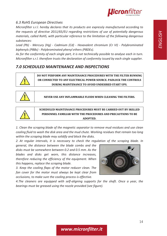



## *6.3 RoHS European Directives*

*Micronfilter s.r.l. hereby declares that its products are expressly manufactured according to the requests of directive 2011/65/EU regarding restrictions of use of potentially dangerous materials, called RoHS, with particular reference to the limitation of the following dangerous substances:*

*Lead (Pb) - Mercury (Hg) - Cadmium (Cd) - Hexavalent chromium (Cr VI) - Polybrominated biphenyls (PBBs) - Polybrominated phenyl ethers (PBDEs).*

*As for the conformity of each single part, it is not technically possible to analyse each in turn. Micronfilter s.r.l. therefore trusts the declaration of conformity issued by each single supplier.*

## *7.0 SCHEDULED MAINTENANCE AND INSPECTIONS*



**DO NOT PERFORM ANY MAINTENANCE PROCEDURES WITH THE FILTER RUNNING OR CONNECTED TO ANY ELECTRICAL POWER SOURCE. PADLOCK THE CONTROLS DURING MAINTENANCE TO AVOID UNDESIRED START UPS.**



**NEVER USE ANY INFLAMMABLE FLUIDS WHEN CLEANING THE FILTERS.**

**SCHEDULED MAINTENANCE PROCEDURES MUST BE CARRIED OUT BY SKILLED PERSONNEL FAMILIAR WITH THE PROCEDURES AND PRECAUTIONS TO BE ADOPTED.**

*1. Clean the scraping blade of the magnetic separator to remove mud residues and use clean cooling fluid to wash the disk area and the mud chute. Working residues that remain too long within the scraping blade may solidify and block the disks.*

*2. At regular intervals, it is necessary to check the regulation of the scraping blade. In* 

*general, the distance between the blade combs and the disks must be somewhere between 0.2 and 0.5 mm. As the blades and disks get worn, this distance increases, therefore reducing the efficiency of the equipment. When this happens, replace the scraping blade.*

*3. Keep the cooling flaps of the motor reducer clean. The fan cover for the motor must always be kept clear from occlusions, to make sure the cooling process is effective.*

*4.The cleaners are equipped with self-aligning supports for the shaft. Once a year, the bearings must be greased using the nozzle provided (see figure).*

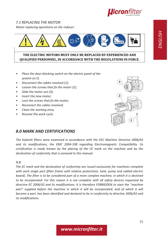



# *7.1 REPLACING THE MOTOR*

*Motor replacing operations on the reducer:*



- *• Place the door-blocking switch on the electric panel of the system on O;*
- *• Disconnect the cables involved (1);*
- *• Loosen the screws that fix the motor (2);*
- *• Slide the motor out (3);*
- *• Insert the new motor;*
- *• Lock the screws that fix the motor;*
- *• Reconnect the cables involved;*
- *• Clean the working area;*
- *• Resume the work cycle.*



## *8.0 MARK AND CERTIFICATIONS*

*The Kalamit filters were examined in accordance with the EEC Machine Directive 2006/42 and its modifications, the EMC 2004-108 regarding Electromagnetic Compatibility. Its certification is made known by the placing of the CE mark on the machine and by the declaration of conformity that is annexed to this manual.*

*N.B.*

*The EC mark and the declaration of conformity are issued exclusively for machines complete with each single part (filter frame with relative protections, tank, pump and cabled electric board). The filter is to be considered part of a more complex machine, in which it is destined to be incorporated. For this reason it is not complete with all safety devices requested by directive EC 2006/42 and its modifications. It is therefore FORBIDDEN to start the "machine*  part" supplied before the machine in which it will be incorporated, and of which it will *become a part, has been identified and declared to be in conformity to directive 2006/42 and its modifications.*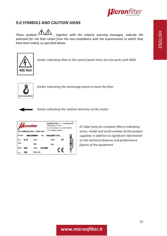

## *9.0 SYMBOLS AND CAUTION SIGNS*

*These symbols*  $\frac{1! \sqrt{4}}{2}$ , together with the relative warning messages, indicate the *potential for risk that comes from the non-compliance with the requirements to which they have been linked, as specified below.*



*Sticker indicating that on the control panel there are live parts with 400V*



*Sticker indicating the anchorage points to hoist the filter*



*Sticker indicating the rotation direction of the motor.*



*EC label (only for complete filters) indicating series, model and serial number of the product supplied, in addition to significant information on the technical features and performance figures of the equipment.*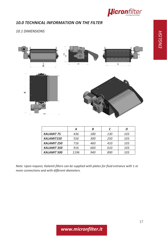

# *10.0 TECHNICAL INFORMATION ON THE FILTER*

*10.1 DIMENSIONS*



|                    |      | Β          |            | ח   |
|--------------------|------|------------|------------|-----|
| <b>KALAMIT 75</b>  | 436  | <i>180</i> | <i>130</i> | 103 |
| KALAMIT150         | 556  | 300        | 250        | 103 |
| <b>KALAMIT 250</b> | 716  | 460        | 410        | 103 |
| <b>KALAMIT 350</b> | 916  | 660        | 610        | 103 |
| <b>KALAMIT 500</b> | 1196 | 940        | 890        | 103 |

*Note: Upon request, Kalamit filters can be supplied with plates for fluid entrance with 1 or more connections and with different diameters.*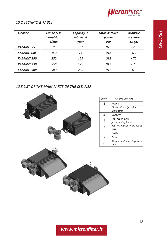

## *10.2 TECHNICAL TABLE*

| <b>Cleaner</b>     | <b>Capacity in</b><br>emulsion<br>1/min | <b>Capacity in</b><br>whole oil<br>1/min | <b>Total installed</b><br>power<br>kW | <b>Acoustic</b><br>pressure<br>dB(A) |
|--------------------|-----------------------------------------|------------------------------------------|---------------------------------------|--------------------------------------|
| <b>KALAMIT 75</b>  | 75                                      | 37.5                                     | 012                                   | $<$ 70                               |
| <b>KALAMIT150</b>  | <i>150</i>                              | 75                                       | 012                                   | $<$ 70                               |
| <b>KALAMIT 250</b> | 250                                     | 125                                      | 012                                   | $<$ 70                               |
| <b>KALAMIT 350</b> | 350                                     | 175                                      | 012                                   | $<$ 70                               |
| <b>KALAMIT 500</b> | 500                                     | 250                                      | 012                                   | $<$ 70                               |

# *10.3 LIST OF THE MAIN PARTS OF THE CLEANER*



| POS. | <b>DESCRIPTION</b>                    |
|------|---------------------------------------|
| 1    | Frame                                 |
| 2    | Chute with adjustable<br>inclination  |
| 3    | Support                               |
| 4    | Protection with<br>jet-breaking blade |
| 5    | Motor reducer with sealing<br>disk    |
| 6    | Gasket                                |
| 7    | Comb                                  |
|      | Magnetic disk and spacers<br>unit     |

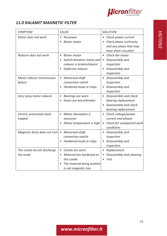

# *11.0 KALAMIT MAGNETIC FILTER*

| SYMPTOM                                | <b>CAUSE</b>                                                                                                              | <b>SOLUTION</b>                                                                                                                     |
|----------------------------------------|---------------------------------------------------------------------------------------------------------------------------|-------------------------------------------------------------------------------------------------------------------------------------|
| Motor does not work                    | No power<br>$\bullet$<br><b>Blown motor</b>                                                                               | Check power current<br>$\bullet$<br>Check phase continuity<br>and any phase that may                                                |
| Reducer does not work                  | <b>Blown motor</b><br>$\bullet$<br>Switch between motor and<br>reducer is broken/absent<br>Defective reducer              | have short-circuited<br>Check the motor<br>$\bullet$<br>Disassembly and<br>$\bullet$<br>inspection<br>Disassembly and<br>inspection |
| Motor reducer transmission<br>failure  | Motorised shaft<br>$\bullet$<br>connection switch<br>Hardened muds or chips                                               | Disassembly and<br>$\bullet$<br>inspection<br>Disassembly and<br>inspection                                                         |
| Very noisy motor reducer               | Bearings are worn<br>$\bullet$<br>Gears are worn/broken                                                                   | • Disassemble and check<br>bearing replacement<br>Disassemble and check<br>bearing replacement                                      |
| Electric protections have<br>tripped   | Motor absorption is<br>$\bullet$<br>excessive<br>Motor temperature is high                                                | Check voltage/power<br>$\bullet$<br>current and phases<br>Check for unexpected work<br>conditions                                   |
| Magnetic drum does not turn            | • Motorised shaft<br>connection switch<br>Hardened muds or chips                                                          | • Disassembly and<br>inspection<br>Disassembly and<br>inspection                                                                    |
| The combs do not discharge<br>the muds | Combs are worn<br>Material has hardened on<br>$\bullet$<br>the combs<br>The material being worked<br>is not magnetic iron | Replacement<br>$\bullet$<br>Disassembly and cleaning<br>Test                                                                        |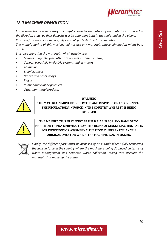

# *12.0 MACHINE DEMOLITION*

*In this operation it is necessary to carefully consider the nature of the material introduced in the filtration units, as their deposits will be abundant both in the tanks and in the piping. It is therefore necessary to carefully clean all parts destined to elimination.*

*The manufacturing of this machine did not use any materials whose elimination might be a problem.*

*Start by separating the materials, which usually are:*

- *• Ferrous, magnetic (the latter are present in some systems).*
- *• Copper, especially in electric systems and in motors*
- *• Aluminium*
- *• Stainless steel*
- *• Bronze and other alloys*
- *• Plastic*
- *• Rubber and rubber products*
- *• Other non-metal products*



**WARNING THE MATERIALS MUST BE COLLECTED AND DISPOSED OF ACCORDING TO THE REGULATIONS IN FORCE IN THE COUNTRY WHERE IT IS BEING DISPOSED**



**THE MANUFACTURER CANNOT BE HELD LIABLE FOR ANY DAMAGE TO PEOPLE OR THINGS DERIVING FROM THE REUSE OF SINGLE MACHINE PARTS FOR FUNCTIONS OR ASSEMBLY SITUATIONS DIFFERENT THAN THE ORIGINAL ONES FOR WHICH THE MACHINE WAS DESIGNED.**



*Finally, the different parts must be disposed of at suitable places, fully respecting the laws in force in the country where the machine is being displaced, in terms of waste management and separate waste collection, taking into account the materials that make up the pump.*